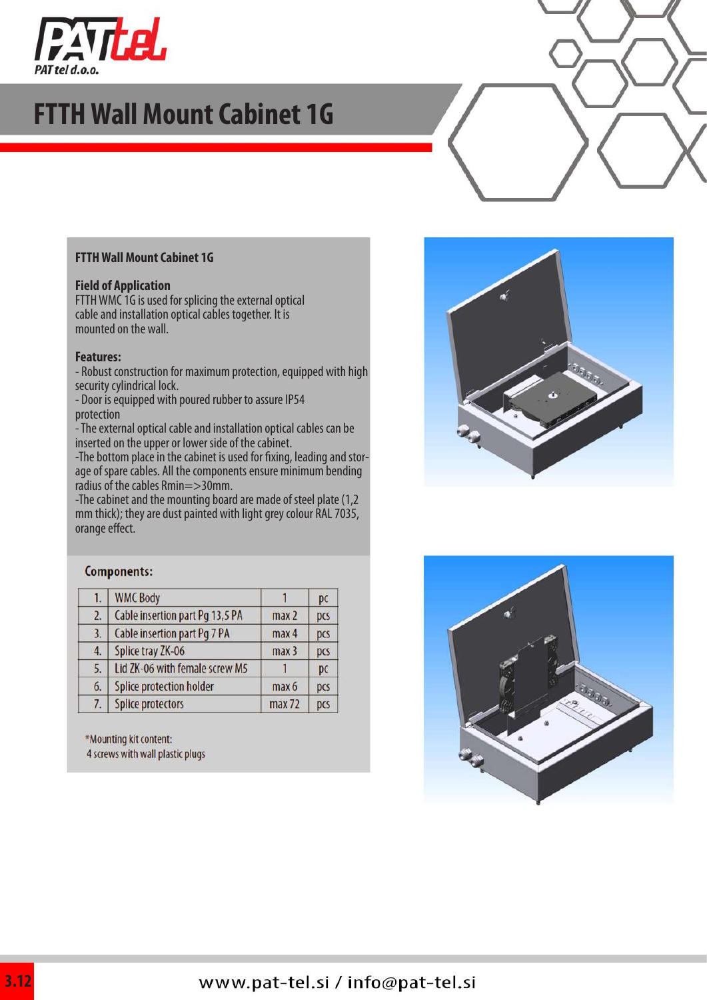

## **FTTH Wall Mount Cabinet 1G**

#### **FTTH Wall Mount Cabinet 1G**

#### **Field of Application**

FTTH WMC 1G is used for splicing the external optical cable and installation optical cables together. It is mounted on the wall.

#### **Features:**

- Robust construction for maximum protection, equipped with high security cylindrical lock.

- Door is equipped with poured rubber to assure IP54 protection

- The external optical cable and installation optical cables can be inserted on the upper or lower side of the cabinet.

-The bottom place in the cabinet is used for fixing, leading and storage of spare cables. All the components ensure minimum bending radius of the cables Rmin=>30mm.

-The cabinet and the mounting board are made of steel plate (1,2 mm thick); they are dust painted with light grey colour RAL 7035, orange effect.



#### Components:

| 1. | <b>WMC Body</b>                 |                  | pc  |
|----|---------------------------------|------------------|-----|
| 2. | Cable insertion part Pg 13,5 PA | max <sub>2</sub> | pcs |
| 3. | Cable insertion part Pg 7 PA    | max <sub>4</sub> | pcs |
| 4. | Splice tray ZK-06               | max <sub>3</sub> | pcs |
| 5. | Lid ZK-06 with female screw M5  |                  | pc  |
| 6. | Splice protection holder        | max 6            | pcs |
| 7. | <b>Splice protectors</b>        | max 72           | pcs |
|    |                                 |                  |     |

\*Mounting kit content:

4 screws with wall plastic plugs